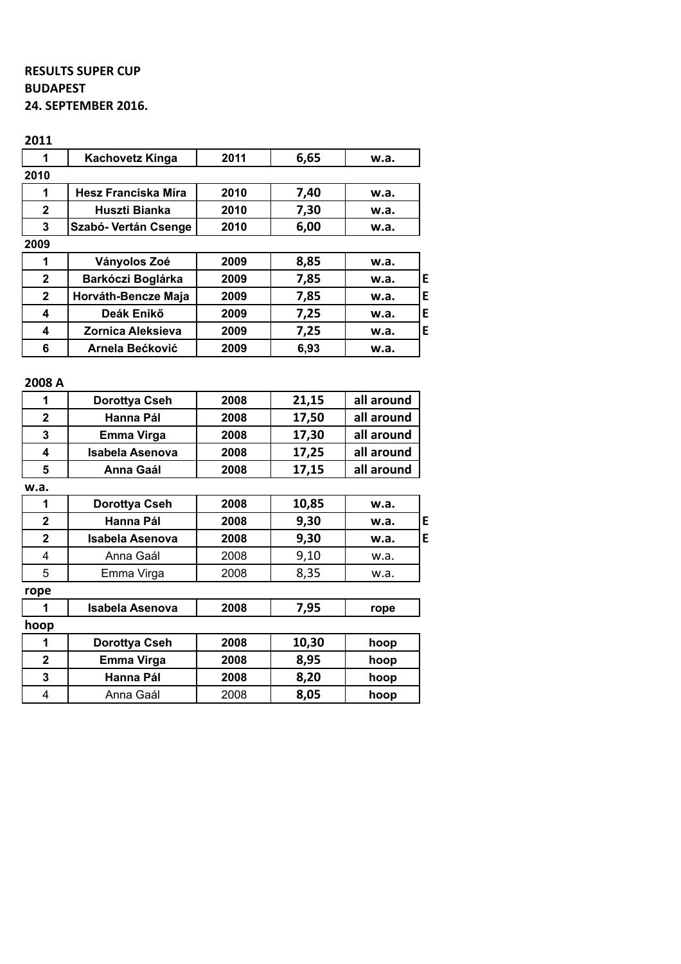## **RESULTS SUPER CUP BUDAPEST 24. SEPTEMBER 2016.**

| 2011                    |                            |      |       |            |   |
|-------------------------|----------------------------|------|-------|------------|---|
| 1                       | <b>Kachovetz Kinga</b>     | 2011 | 6,65  | w.a.       |   |
| 2010                    |                            |      |       |            |   |
| 1                       | <b>Hesz Franciska Míra</b> | 2010 | 7,40  | w.a.       |   |
| $\overline{2}$          | <b>Huszti Bianka</b>       | 2010 | 7,30  | w.a.       |   |
| 3                       | Szabó- Vertán Csenge       | 2010 | 6,00  | w.a.       |   |
| 2009                    |                            |      |       |            |   |
| 1                       | Ványolos Zoé               | 2009 | 8,85  | w.a.       |   |
| $\overline{2}$          | Barkóczi Boglárka          | 2009 | 7,85  | w.a.       | E |
| $\overline{2}$          | Horváth-Bencze Maja        | 2009 | 7,85  | w.a.       | E |
| 4                       | Deák Enikő                 | 2009 | 7,25  | w.a.       | E |
| 4                       | <b>Zornica Aleksieva</b>   | 2009 | 7,25  | w.a.       | E |
| 6                       | <b>Arnela Bećković</b>     | 2009 | 6,93  | w.a.       |   |
| 2008 A                  |                            |      |       |            |   |
| 1                       | <b>Dorottya Cseh</b>       | 2008 | 21,15 | all around |   |
| $\mathbf{2}$            | <b>Hanna Pál</b>           | 2008 |       |            |   |
| 3                       |                            |      | 17,50 | all around |   |
|                         | Emma Virga                 | 2008 | 17,30 | all around |   |
| 4                       | <b>Isabela Asenova</b>     | 2008 | 17,25 | all around |   |
| 5                       | <b>Anna Gaál</b>           | 2008 | 17,15 | all around |   |
| w.a.                    |                            |      |       |            |   |
| 1                       | Dorottya Cseh              | 2008 | 10,85 | w.a.       |   |
| $\overline{2}$          | <b>Hanna Pál</b>           | 2008 | 9,30  | w.a.       | E |
| $\overline{\mathbf{2}}$ | <b>Isabela Asenova</b>     | 2008 | 9,30  | w.a.       |   |
| 4                       | Anna Gaál                  | 2008 | 9,10  | w.a.       | E |

| i obe        |                        |      |       |      |
|--------------|------------------------|------|-------|------|
| 1            | <b>Isabela Asenova</b> | 2008 | 7,95  | rope |
| hoop         |                        |      |       |      |
| 1            | Dorottya Cseh          | 2008 | 10,30 | hoop |
| $\mathbf{2}$ | <b>Emma Virga</b>      | 2008 | 8,95  | hoop |
| 3            | Hanna Pál              | 2008 | 8,20  | hoop |
| 4            | Anna Gaál              | 2008 | 8,05  | hoop |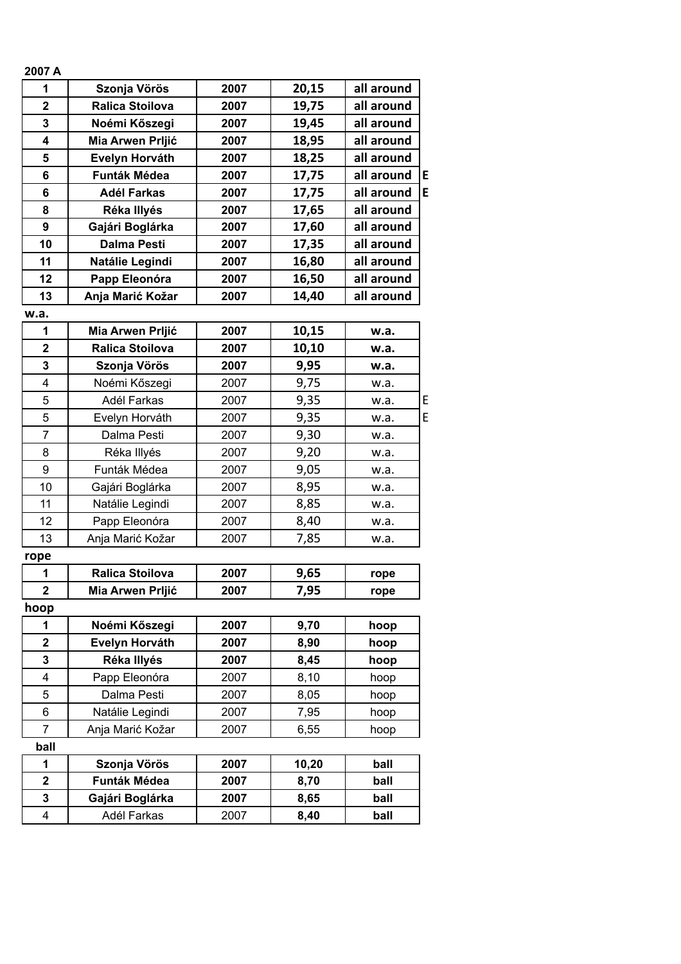| 2007 A         |                        |      |       |            |   |
|----------------|------------------------|------|-------|------------|---|
| 1              | Szonja Vörös           | 2007 | 20,15 | all around |   |
| $\overline{2}$ | <b>Ralica Stoilova</b> | 2007 | 19,75 | all around |   |
| 3              | Noémi Kőszegi          | 2007 | 19,45 | all around |   |
| 4              | Mia Arwen Prljić       | 2007 | 18,95 | all around |   |
| 5              | Evelyn Horváth         | 2007 | 18,25 | all around |   |
| 6              | <b>Funták Médea</b>    | 2007 | 17,75 | all around | E |
| 6              | <b>Adél Farkas</b>     | 2007 | 17,75 | all around | E |
| 8              | Réka Illyés            | 2007 | 17,65 | all around |   |
| 9              | Gajári Boglárka        | 2007 | 17,60 | all around |   |
| 10             | <b>Dalma Pesti</b>     | 2007 | 17,35 | all around |   |
| 11             | Natálie Legindi        | 2007 | 16,80 | all around |   |
| 12             | Papp Eleonóra          | 2007 | 16,50 | all around |   |
| 13             | Anja Marić Kožar       | 2007 | 14,40 | all around |   |
| w.a.           |                        |      |       |            |   |
| 1              | Mia Arwen Prljić       | 2007 | 10,15 | w.a.       |   |
| $\mathbf 2$    | <b>Ralica Stoilova</b> | 2007 | 10,10 | w.a.       |   |
| 3              | Szonja Vörös           | 2007 | 9,95  | w.a.       |   |
| 4              | Noémi Kőszegi          | 2007 | 9,75  | w.a.       |   |
| 5              | Adél Farkas            | 2007 | 9,35  | w.a.       | E |
| 5              | Evelyn Horváth         | 2007 | 9,35  | w.a.       | E |
| $\overline{7}$ | Dalma Pesti            | 2007 | 9,30  | w.a.       |   |
| 8              | Réka Illyés            | 2007 | 9,20  | w.a.       |   |
| 9              | Funták Médea           | 2007 | 9,05  | w.a.       |   |
| 10             | Gajári Boglárka        | 2007 | 8,95  | w.a.       |   |
| 11             | Natálie Legindi        | 2007 | 8,85  | w.a.       |   |
| 12             | Papp Eleonóra          | 2007 | 8,40  | w.a.       |   |
| 13             | Anja Marić Kožar       | 2007 | 7,85  | w.a.       |   |
| rope           |                        |      |       |            |   |
| 1              | <b>Ralica Stoilova</b> | 2007 | 9,65  | rope       |   |
| $\overline{2}$ | Mia Arwen Prljić       | 2007 | 7,95  | rope       |   |
| hoop           |                        |      |       |            |   |
| 1              | Noémi Kőszegi          | 2007 | 9,70  | hoop       |   |
| $\mathbf 2$    | Evelyn Horváth         | 2007 | 8,90  | hoop       |   |
| 3              | Réka Illyés            | 2007 | 8,45  | hoop       |   |
| 4              | Papp Eleonóra          | 2007 | 8,10  | hoop       |   |
| 5              | Dalma Pesti            | 2007 | 8,05  | hoop       |   |
| 6              | Natálie Legindi        | 2007 | 7,95  | hoop       |   |
| 7              | Anja Marić Kožar       | 2007 | 6,55  | hoop       |   |
| ball           |                        |      |       |            |   |
| 1              | Szonja Vörös           | 2007 | 10,20 | ball       |   |
| $\mathbf 2$    | Funták Médea           | 2007 | 8,70  | ball       |   |
| 3              | Gajári Boglárka        | 2007 | 8,65  | ball       |   |
| 4              | Adél Farkas            | 2007 | 8,40  | ball       |   |
|                |                        |      |       |            |   |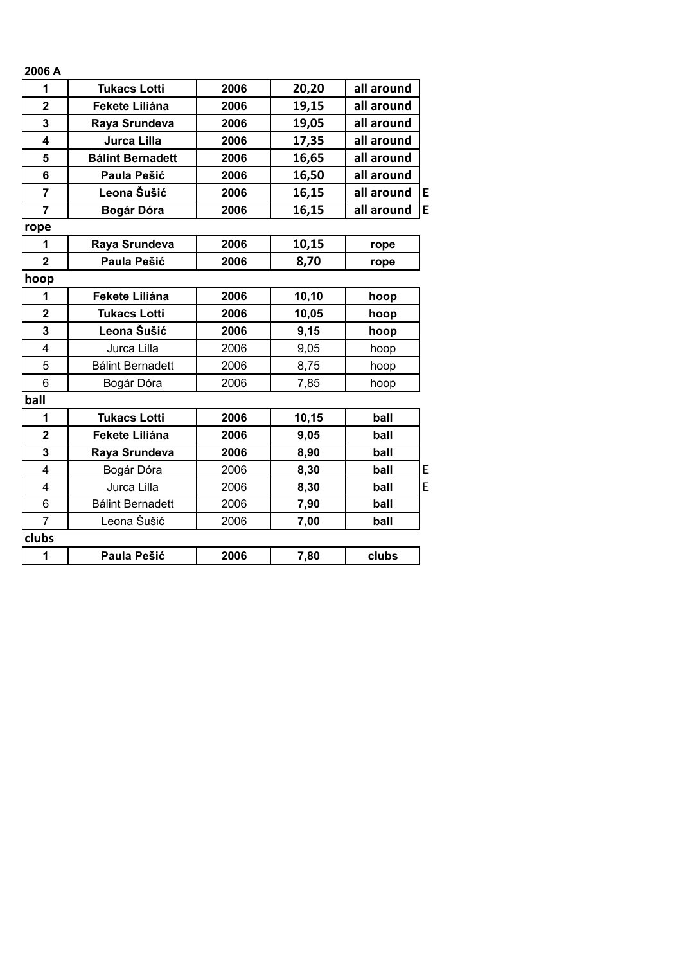| 2006 A         |                         |      |       |            |   |
|----------------|-------------------------|------|-------|------------|---|
| 1              | <b>Tukacs Lotti</b>     | 2006 | 20,20 | all around |   |
| $\mathbf 2$    | Fekete Liliána          | 2006 | 19,15 | all around |   |
| 3              | Raya Srundeva           | 2006 | 19,05 | all around |   |
| 4              | Jurca Lilla             | 2006 | 17,35 | all around |   |
| 5              | <b>Bálint Bernadett</b> | 2006 | 16,65 | all around |   |
| 6              | Paula Pešić             | 2006 | 16,50 | all around |   |
| $\overline{7}$ | Leona Šušić             | 2006 | 16,15 | all around | E |
| $\overline{7}$ | Bogár Dóra              | 2006 | 16,15 | all around | E |
| rope           |                         |      |       |            |   |
| 1              | Raya Srundeva           | 2006 | 10,15 | rope       |   |
| $\mathbf{2}$   | Paula Pešić             | 2006 | 8,70  | rope       |   |
| hoop           |                         |      |       |            |   |
| 1              | Fekete Liliána          | 2006 | 10,10 | hoop       |   |
| $\overline{2}$ | <b>Tukacs Lotti</b>     | 2006 | 10,05 | hoop       |   |
| 3              | Leona Šušić             | 2006 | 9,15  | hoop       |   |
| 4              | Jurca Lilla             | 2006 | 9,05  | hoop       |   |
| 5              | <b>Bálint Bernadett</b> | 2006 | 8,75  | hoop       |   |
| 6              | Bogár Dóra              | 2006 | 7,85  | hoop       |   |
| ball           |                         |      |       |            |   |
| 1              | <b>Tukacs Lotti</b>     | 2006 | 10,15 | ball       |   |
| $\mathbf 2$    | <b>Fekete Liliána</b>   | 2006 | 9,05  | ball       |   |
| 3              | Raya Srundeva           | 2006 | 8,90  | ball       |   |
| 4              | Bogár Dóra              | 2006 | 8,30  | ball       | E |
| 4              | Jurca Lilla             | 2006 | 8,30  | ball       | E |
| 6              | <b>Bálint Bernadett</b> | 2006 | 7,90  | ball       |   |
| $\overline{7}$ | Leona Šušić             | 2006 | 7,00  | ball       |   |
| clubs          |                         |      |       |            |   |
| 1              | Paula Pešić             | 2006 | 7,80  | clubs      |   |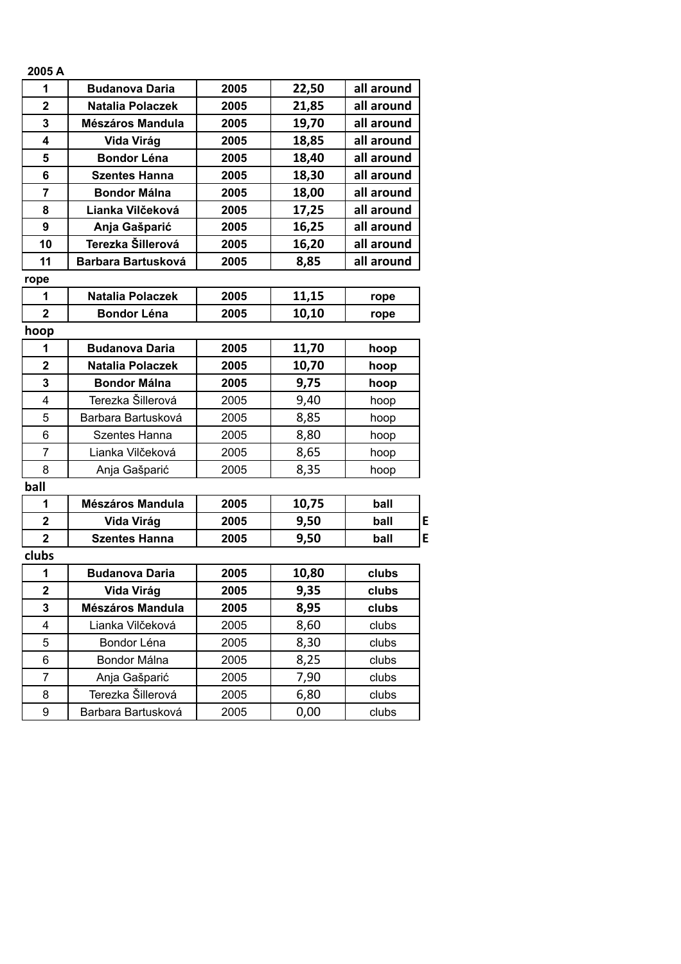| 2005 A                  |                           |      |       |            |
|-------------------------|---------------------------|------|-------|------------|
| 1                       | <b>Budanova Daria</b>     | 2005 | 22,50 | all around |
| $\overline{2}$          | <b>Natalia Polaczek</b>   | 2005 | 21,85 | all around |
| 3                       | Mészáros Mandula          | 2005 | 19,70 | all around |
| 4                       | Vida Virág                | 2005 | 18,85 | all around |
| 5                       | <b>Bondor Léna</b>        | 2005 | 18,40 | all around |
| 6                       | <b>Szentes Hanna</b>      | 2005 | 18,30 | all around |
| 7                       | <b>Bondor Málna</b>       | 2005 | 18,00 | all around |
| 8                       | Lianka Vilčeková          | 2005 | 17,25 | all around |
| 9                       | Anja Gašparić             | 2005 | 16,25 | all around |
| 10                      | Terezka Šillerová         | 2005 | 16,20 | all around |
| 11                      | <b>Barbara Bartusková</b> | 2005 | 8,85  | all around |
| rope                    |                           |      |       |            |
| 1                       | <b>Natalia Polaczek</b>   | 2005 | 11,15 | rope       |
| $\mathbf{2}$            | <b>Bondor Léna</b>        | 2005 | 10,10 | rope       |
| hoop                    |                           |      |       |            |
| 1                       | <b>Budanova Daria</b>     | 2005 | 11,70 | hoop       |
| $\mathbf 2$             | <b>Natalia Polaczek</b>   | 2005 | 10,70 | hoop       |
| 3                       | <b>Bondor Málna</b>       | 2005 | 9,75  | hoop       |
| 4                       | Terezka Šillerová         | 2005 | 9,40  | hoop       |
| 5                       | Barbara Bartusková        | 2005 | 8,85  | hoop       |
| 6                       | <b>Szentes Hanna</b>      | 2005 | 8,80  | hoop       |
| 7                       | Lianka Vilčeková          | 2005 | 8,65  | hoop       |
| 8                       | Anja Gašparić             | 2005 | 8,35  | hoop       |
| ball                    |                           |      |       |            |
| 1                       | <b>Mészáros Mandula</b>   | 2005 | 10,75 | ball       |
| $\mathbf 2$             | Vida Virág                | 2005 | 9,50  | ball       |
| $\overline{\mathbf{2}}$ | <b>Szentes Hanna</b>      | 2005 | 9,50  | ball       |
| clubs                   |                           |      |       |            |
| 1                       | <b>Budanova Daria</b>     | 2005 | 10,80 | clubs      |
| $\overline{\mathbf{2}}$ | Vida Virág                | 2005 | 9,35  | clubs      |
| 3                       | Mészáros Mandula          | 2005 | 8,95  | clubs      |
| 4                       | Lianka Vilčeková          | 2005 | 8,60  | clubs      |
| 5                       | Bondor Léna               | 2005 | 8,30  | clubs      |
| 6                       | Bondor Málna              | 2005 | 8,25  | clubs      |
| 7                       | Anja Gašparić             | 2005 | 7,90  | clubs      |
| 8                       | Terezka Šillerová         | 2005 | 6,80  | clubs      |
|                         |                           |      |       |            |

9 Barbara Bartusková 2005 0,00 clubs